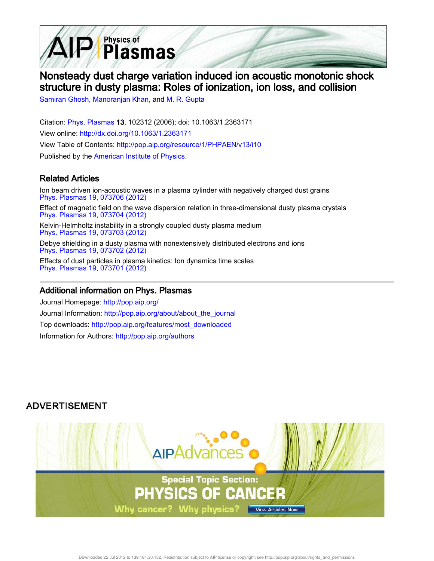

# Nonsteady dust charge variation induced ion acoustic monotonic shock structure in dusty plasma: Roles of ionization, ion loss, and collision

Samiran Ghosh, Manoranjan Khan, and M. R. Gupta

Citation: Phys. Plasmas 13, 102312 (2006); doi: 10.1063/1.2363171 View online: http://dx.doi.org/10.1063/1.2363171 View Table of Contents: http://pop.aip.org/resource/1/PHPAEN/v13/i10 Published by the American Institute of Physics.

## Related Articles

Ion beam driven ion-acoustic waves in a plasma cylinder with negatively charged dust grains Phys. Plasmas 19, 073706 (2012) Effect of magnetic field on the wave dispersion relation in three-dimensional dusty plasma crystals Phys. Plasmas 19, 073704 (2012) Kelvin-Helmholtz instability in a strongly coupled dusty plasma medium Phys. Plasmas 19, 073703 (2012) Debye shielding in a dusty plasma with nonextensively distributed electrons and ions Phys. Plasmas 19, 073702 (2012) Effects of dust particles in plasma kinetics: Ion dynamics time scales Phys. Plasmas 19, 073701 (2012)

## Additional information on Phys. Plasmas

Journal Homepage: http://pop.aip.org/ Journal Information: http://pop.aip.org/about/about\_the\_journal Top downloads: http://pop.aip.org/features/most\_downloaded Information for Authors: http://pop.aip.org/authors

## **ADVERTISEMENT**

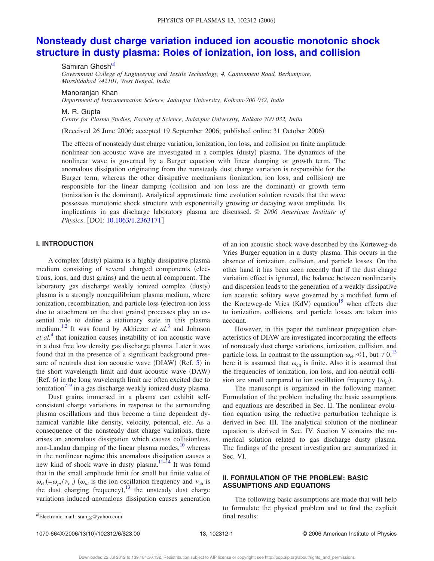## **Nonsteady dust charge variation induced ion acoustic monotonic shock structure in dusty plasma: Roles of ionization, ion loss, and collision**

Samiran Ghosh<sup>a)</sup>

*Government College of Engineering and Textile Technology, 4, Cantonment Road, Berhampore, Murshidabad 742101, West Bengal, India*

Manoranjan Khan

*Department of Instrumentation Science, Jadavpur University, Kolkata-700 032, India*

M. R. Gupta

*Centre for Plasma Studies, Faculty of Science, Jadavpur University, Kolkata 700 032, India*

Received 26 June 2006; accepted 19 September 2006; published online 31 October 2006-

The effects of nonsteady dust charge variation, ionization, ion loss, and collision on finite amplitude nonlinear ion acoustic wave are investigated in a complex (dusty) plasma. The dynamics of the nonlinear wave is governed by a Burger equation with linear damping or growth term. The anomalous dissipation originating from the nonsteady dust charge variation is responsible for the Burger term, whereas the other dissipative mechanisms (ionization, ion loss, and collision) are responsible for the linear damping (collision and ion loss are the dominant) or growth term (ionization is the dominant). Analytical approximate time evolution solution reveals that the wave possesses monotonic shock structure with exponentially growing or decaying wave amplitude. Its implications in gas discharge laboratory plasma are discussed. © *2006 American Institute of Physics*. DOI: 10.1063/1.2363171

#### **I. INTRODUCTION**

A complex (dusty) plasma is a highly dissipative plasma medium consisting of several charged components (electrons, ions, and dust grains) and the neutral component. The laboratory gas discharge weakly ionized complex (dusty) plasma is a strongly nonequilibrium plasma medium, where ionization, recombination, and particle loss (electron-ion loss due to attachment on the dust grains) processes play an essential role to define a stationary state in this plasma medium.<sup>1,2</sup> It was found by Akhiezer *et al.*<sup>3</sup> and Johnson *et al.*<sup>4</sup> that ionization causes instability of ion acoustic wave in a dust free low density gas discharge plasma. Later it was found that in the presence of a significant background pressure of neutrals dust ion acoustic wave (DIAW) (Ref. 5) in the short wavelength limit and dust acoustic wave (DAW)  $(Ref. 6)$  in the long wavelength limit are often excited due to ionization $7-9$  in a gas discharge weakly ionized dusty plasma.

Dust grains immersed in a plasma can exhibit selfconsistent charge variations in response to the surrounding plasma oscillations and thus become a time dependent dynamical variable like density, velocity, potential, etc. As a consequence of the nonsteady dust charge variations, there arises an anomalous dissipation which causes collisionless, non-Landau damping of the linear plasma modes, $10$  whereas in the nonlinear regime this anomalous dissipation causes a new kind of shock wave in dusty plasma.<sup>11–14</sup> It was found that in the small amplitude limit for small but finite value of  $\omega_{ch}$  (= $\omega_{pi}/\nu_{ch}$ ) ( $\omega_{pi}$  is the ion oscillation frequency and  $\nu_{ch}$  is the dust charging frequency),  $13$  the unsteady dust charge variations induced anomalous dissipation causes generation of an ion acoustic shock wave described by the Korteweg-de Vries Burger equation in a dusty plasma. This occurs in the absence of ionization, collision, and particle losses. On the other hand it has been seen recently that if the dust charge variation effect is ignored, the balance between nonlinearity and dispersion leads to the generation of a weakly dissipative ion acoustic solitary wave governed by a modified form of the Korteweg-de Vries (KdV) equation<sup>15</sup> when effects due to ionization, collisions, and particle losses are taken into account.

However, in this paper the nonlinear propagation characteristics of DIAW are investigated incorporating the effects of nonsteady dust charge variations, ionization, collision, and particle loss. In contrast to the assumption  $\omega_{ch} \ll 1$ , but  $\neq 0$ , <sup>13</sup>, here it is assumed that  $\omega_{ch}$  is finite. Also it is assumed that the frequencies of ionization, ion loss, and ion-neutral collision are small compared to ion oscillation frequency  $(\omega_{pi})$ .

The manuscript is organized in the following manner. Formulation of the problem including the basic assumptions and equations are described in Sec. II. The nonlinear evolution equation using the reductive perturbation technique is derived in Sec. III. The analytical solution of the nonlinear equation is derived in Sec. IV. Section V contains the numerical solution related to gas discharge dusty plasma. The findings of the present investigation are summarized in Sec. VI.

#### **II. FORMULATION OF THE PROBLEM: BASIC ASSUMPTIONS AND EQUATIONS**

The following basic assumptions are made that will help to formulate the physical problem and to find the explicit

1070-664X/2006/1310/102312/6/\$23.00 **13**, 102312-1 © 2006 American Institute of Physics

a)Electronic mail: sran\_g@yahoo.com final results: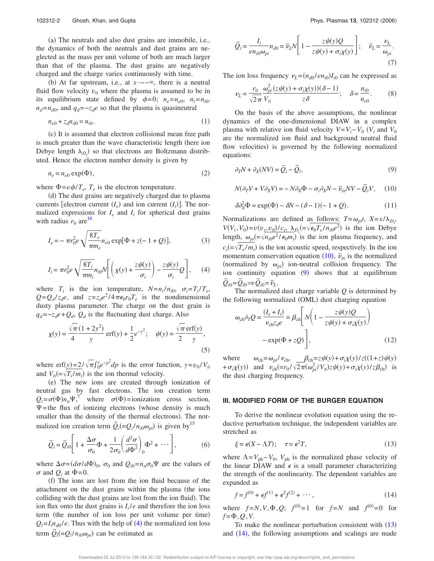(a) The neutrals and also dust grains are immobile, i.e., the dynamics of both the neutrals and dust grains are neglected as the mass per unit volume of both are much larger than that of the plasma. The dust grains are negatively charged and the charge varies continuously with time.

(b) At far upstream, i.e., at *x*→−∞, there is a neutral fluid flow velocity  $v_0$  where the plasma is assumed to be in its equilibrium state defined by  $\phi = 0$ ;  $n_e = n_{e0}$ ,  $n_i = n_{i0}$ ,  $n_d = n_{d0}$ , and  $q_d = -z_d e$  so that the plasma is quasineutral

$$
n_{e0} + z_d n_{d0} = n_{i0}.\tag{1}
$$

(c) It is assumed that electron collisional mean free path is much greater than the wave characteristic length (here ion Debye length  $\lambda_{D_i}$  so that electrons are Boltzmann distributed. Hence the electron number density is given by

$$
n_e = n_{e0} \exp(\Phi),\tag{2}
$$

where  $\Phi = e\phi/T_e$ ,  $T_e$  is the electron temperature.

(d) The dust grains are negatively charged due to plasma currents [electron current  $(I_e)$  and ion current  $(I_i)$ ]. The normalized expressions for  $I_e$  and  $I_i$  for spherical dust grains with radius  $r_0$  are <sup>16</sup>

$$
I_e = -\pi r_0^2 e \sqrt{\frac{8T_e}{\pi m_e}} n_{e0} \exp[\Phi + z(-1 + Q)], \qquad (3)
$$

$$
I_i = \pi r_0^2 e \sqrt{\frac{8T_i}{\pi m_i}} n_{i0} N \left[ \left( \chi(y) + \frac{z \psi(y)}{\sigma_i} \right) - \frac{z \psi(y)}{\sigma_i} Q \right], \quad (4)
$$

where  $T_i$  is the ion temperature,  $N = n_i / n_{i0}$ ,  $\sigma_i = T_i / T_e$ ,  $Q = Q_d/z_d e$ , and  $z = z_d e^2/4\pi\epsilon_0 r_0 T_e$  is the nondimensional dusty plasma parameter. The charge on the dust grain is  $q_d = -z_d e + Q_d$ ,  $Q_d$  is the fluctuating dust charge. Also

$$
\chi(y) = \frac{\sqrt{\pi}}{4} \frac{(1+2y^2)}{y} \operatorname{erf}(y) + \frac{1}{2} e^{-y^2}; \quad \psi(y) = \frac{\sqrt{\pi}}{2} \frac{\operatorname{erf}(y)}{y},\tag{5}
$$

where erf(y)=2/ $\sqrt{\pi} \int_0^y e^{-p^2} dp$  is the error function,  $y = v_0/V_{ti}$ and  $V_{ti} = \sqrt{T_i/m_i}$  is the ion thermal velocity.

(e) The new ions are created through ionization of neutral gas by fast electrons. The ion creation term  $Q_i = \sigma(\Phi) n_n \Psi$ ,<sup>7</sup> where  $\sigma(\Phi)$  = ionization cross section,  $\Psi$ =the flux of ionizing electrons (whose density is much smaller than the density of the thermal electrons). The normalized ion creation term  $\overline{Q}_i = Q_i/n_{i0}\omega_{pi}$  is given by<sup>15</sup>

$$
\overline{Q}_i = \overline{Q}_{i0} \left[ 1 + \frac{\Delta \sigma}{\sigma_0} \Phi + \frac{1}{2\sigma_0} \left( \frac{d^2 \sigma}{d \Phi^2} \right)_0 \Phi^2 + \cdots \right],
$$
 (6)

where  $\Delta \sigma = (d\sigma/d\Phi)_0$ ,  $\sigma_0$  and  $Q_{i0} = n_n \sigma_0 \Psi$  are the values of  $\sigma$  and  $\dot{O}$ *i* at  $\Phi$ =0.

(f) The ions are lost from the ion fluid because of the attachment on the dust grains within the plasma (the ions colliding with the dust grains are lost from the ion fluid). The ion flux onto the dust grains is  $I_i/e$  and therefore the ion loss term (the number of ion loss per unit volume per time)  $Q_l = I_l n_{d0}/e$ . Thus with the help of (4) the normalized ion loss term  $\overline{Q}_l = Q_l / n_{i0} \omega_{pi}$  can be estimated as

$$
\overline{Q}_l = \frac{I_i}{en_{i0}\omega_{pi}} n_{d0} = \overline{\nu}_L N \left[ 1 - \frac{z\psi(y)Q}{z\psi(y) + \sigma_i \chi(y)} \right]; \quad \overline{\nu}_L = \frac{\nu_L}{\omega_{pi}}.
$$
\n(7)

The ion loss frequency  $\nu_L = (n_{d0}/en_{i0})I_{i0}$  can be expressed as

$$
\nu_L = \frac{r_0}{\sqrt{2\pi}} \frac{\omega_{pi}^2 (z\psi(y) + \sigma_i \chi(y))(\delta - 1)}{z\delta}; \quad \delta = \frac{n_{i0}}{n_{e0}}.
$$
 (8)

On the basis of the above assumptions, the nonlinear dynamics of the one-dimensional DIAW in a complex plasma with relative ion fluid velocity  $V=V_i-V_0$  ( $V_i$  and  $V_0$ are the normalized ion fluid and background neutral fluid flow velocities) is governed by the following normalized equations:

$$
\partial_T N + \partial_X (N V) = \overline{Q}_i - \overline{Q}_l, \tag{9}
$$

$$
N(\partial_T V + V \partial_X V) = -N \partial_X \Phi - \sigma_i \partial_X N - \overline{\nu}_{in} NV - \overline{Q}_i V, \quad (10)
$$

$$
\delta \partial_X^2 \Phi = \exp(\Phi) - \delta N - (\delta - 1)(-1 + Q). \tag{11}
$$

Normalizations are defined as follows:  $T = \omega_{pi}t$ ,  $X = x/\lambda_{D_i}$  $V(V_i, V_0) = v(v_i, v_0) / c_i, \ \lambda_{D_i} = \sqrt{\epsilon_0 T_e / n_{i0} e^2}$  is the ion Debye length,  $\omega_{pi} = \sqrt{n_{i0}e^2/\epsilon_0 m_i}$  is the ion plasma frequency, and  $c_i = \sqrt{T_e/m_i}$  is the ion acoustic speed, respectively. In the ion momentum conservation equation  $(10)$ ,  $\bar{v}_{in}$  is the normalized (normalized by  $\omega_{pi}$ ) ion-neutral collision frequency. The ion continuity equation  $(9)$  shows that at equilibrium  $\overline{Q}_{i0} = \overline{Q}_{l0} \Rightarrow \overline{Q}_{i0} = \overline{\nu}_L.$ 

The normalized dust charge variable *Q* is determined by the following normalized (OML) dust charging equation

$$
\omega_{\rm ch} \partial_T Q = \frac{(I_e + I_i)}{\nu_{\rm ch} z_d e} = \beta_{\rm ch} \left[ N \left( 1 - \frac{z \psi(y) Q}{z \psi(y) + \sigma_i \chi(y)} \right) - \exp(\Phi + z Q) \right],
$$
\n(12)

where  $\omega_{ch} = \omega_{pi}/\nu_{ch}$ ,  $\beta_{ch} = z\psi(y) + \sigma_i \chi(y)/z((1+z)\psi(y))$ <br>+  $\sigma_i \chi(y)$  and  $\nu_{ch} = r_0/\sqrt{2\pi(\omega_{pi}^2/V_{ti})z\psi(y)} + \sigma_i \chi(y)/z\beta_{ch}$  is the dust charging frequency.

#### **III. MODIFIED FORM OF THE BURGER EQUATION**

To derive the nonlinear evolution equation using the reductive perturbation technique, the independent variables are stretched as

$$
\xi = \epsilon (X - \Lambda T); \quad \tau = \epsilon^2 T,\tag{13}
$$

where  $\Lambda = V_{ph} - V_0$ ,  $V_{ph}$  is the normalized phase velocity of the linear DIAW and  $\epsilon$  is a small parameter characterizing the strength of the nonlinearity. The dependent variables are expanded as

$$
f = f^{(0)} + \epsilon f^{(1)} + \epsilon^2 f^{(2)} + \cdots,
$$
 (14)

where  $f = N$ ,  $V$ ,  $\Phi$ ,  $Q$ ;  $f^{(0)} = 1$  for  $f = N$  and  $f^{(0)} = 0$  for  $f = \Phi, Q, V$ .

To make the nonlinear perturbation consistent with  $(13)$ and (14), the following assumptions and scalings are made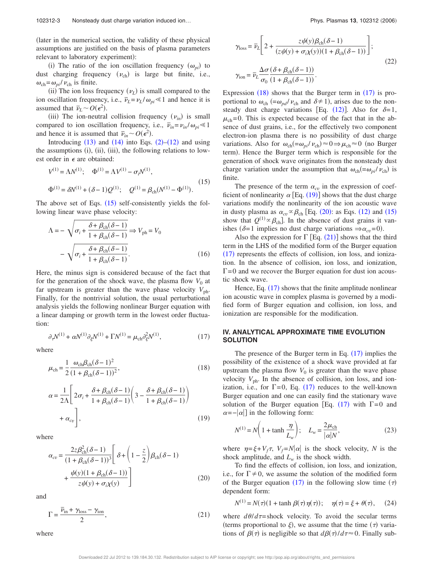later in the numerical section, the validity of these physical assumptions are justified on the basis of plasma parameters relevant to laboratory experiment):

(i) The ratio of the ion oscillation frequency  $(\omega_{pi})$  to dust charging frequency  $(\nu_{ch})$  is large but finite, i.e.,  $\omega_{\rm ch} = \omega_{\rm pi}/v_{\rm ch}$  is finite.

(ii) The ion loss frequency  $(\nu_L)$  is small compared to the ion oscillation frequency, i.e.,  $\overline{v}_L = v_L / \omega_{pi} \le 1$  and hence it is assumed that  $\overline{\nu}_L \sim O(\epsilon^2)$ .

(iii) The ion-neutral collision frequency  $(\nu_{in})$  is small compared to ion oscillation frequency, i.e.,  $\bar{v}_{in} = v_{in}/\omega_{pi} \le 1$ and hence it is assumed that  $\overline{v}_{in} \sim O(\epsilon^2)$ .

Introducing  $(13)$  and  $(14)$  into Eqs.  $(2)-(12)$  and using the assumptions (i), (ii), (iii), the following relations to lowest order in  $\epsilon$  are obtained:

$$
V^{(1)} = \Lambda N^{(1)}; \quad \Phi^{(1)} = \Lambda V^{(1)} - \sigma_i N^{(1)},
$$
  
\n
$$
\Phi^{(1)} = \delta N^{(1)} + (\delta - 1)Q^{(1)}; \quad Q^{(1)} = \beta_{\rm ch}(N^{(1)} - \Phi^{(1)}).
$$
\n(15)

The above set of Eqs.  $(15)$  self-consistently yields the following linear wave phase velocity:

$$
\Lambda = -\sqrt{\sigma_i + \frac{\delta + \beta_{\rm ch}(\delta - 1)}{1 + \beta_{\rm ch}(\delta - 1)}} \Rightarrow V_{\rm ph} = V_0
$$

$$
-\sqrt{\sigma_i + \frac{\delta + \beta_{\rm ch}(\delta - 1)}{1 + \beta_{\rm ch}(\delta - 1)}}.
$$
(16)

Here, the minus sign is considered because of the fact that for the generation of the shock wave, the plasma flow  $V_0$  at far upstream is greater than the wave phase velocity  $V_{\text{ph}}$ . Finally, for the nontrivial solution, the usual perturbational analysis yields the following nonlinear Burger equation with a linear damping or growth term in the lowest order fluctuation:

$$
\partial_{\tau} N^{(1)} + \alpha N^{(1)} \partial_{\xi} N^{(1)} + \Gamma N^{(1)} = \mu_{\rm ch} \partial_{\xi}^2 N^{(1)},\tag{17}
$$

where

$$
\mu_{ch} = \frac{1}{2} \frac{\omega_{ch} \beta_{ch} (\delta - 1)^2}{(1 + \beta_{ch} (\delta - 1))^2},
$$
\n(18)

$$
\alpha = \frac{1}{2\Lambda} \left[ 2\sigma_i + \frac{\delta + \beta_{\text{ch}}(\delta - 1)}{1 + \beta_{\text{ch}}(\delta - 1)} \left( 3 - \frac{\delta + \beta_{\text{ch}}(\delta - 1)}{1 + \beta_{\text{ch}}(\delta - 1)} \right) + \alpha_{cv} \right],
$$
\n(19)

where

$$
\alpha_{cv} = \frac{2z\beta_{\rm ch}^2(\delta - 1)}{(1 + \beta_{\rm ch}(\delta - 1))^3} \left[ \delta + \left( 1 - \frac{z}{2} \right) \beta_{\rm ch}(\delta - 1) + \frac{\psi(y)(1 + \beta_{\rm ch}(\delta - 1))}{z\psi(y) + \sigma_i \chi(y)} \right]
$$
(20)

and

where

$$
\Gamma = \frac{\overline{\nu}_{\text{in}} + \gamma_{\text{loss}} - \gamma_{\text{ion}}}{2},\tag{21}
$$

$$
\gamma_{\text{loss}} = \overline{\nu}_L \left[ 2 + \frac{z \psi(y) \beta_{\text{ch}}(\delta - 1)}{(z \psi(y) + \sigma_i \chi(y))(1 + \beta_{\text{ch}}(\delta - 1))} \right];
$$
  

$$
\gamma_{\text{ion}} = \overline{\nu}_L \frac{\Delta \sigma}{\sigma_0} \frac{(\delta + \beta_{\text{ch}}(\delta - 1))}{(1 + \beta_{\text{ch}}(\delta - 1))}.
$$
 (22)

Expression  $(18)$  shows that the Burger term in  $(17)$  is proportional to  $\omega_{ch}$  (= $\omega_{pd} / \nu_{ch}$  and  $\delta \neq 1$ ), arises due to the nonsteady dust charge variations [Eq. (12)]. Also for  $\delta=1$ ,  $\mu_{ch}=0$ . This is expected because of the fact that in the absence of dust grains, i.e., for the effectively two component electron-ion plasma there is no possibility of dust charge variations. Also for  $\omega_{ch} = \omega_{pi}/\nu_{ch} \approx 0 \Rightarrow \mu_{ch} \approx 0$  (no Burger term). Hence the Burger term which is responsible for the generation of shock wave originates from the nonsteady dust charge variation under the assumption that  $\omega_{ch} = \omega_{pi}/\nu_{ch}$  is finite.

The presence of the term  $\alpha_{cv}$  in the expression of coefficient of nonlinearity  $\alpha$  [Eq. (19)] shows that the dust charge variations modify the nonlinearity of the ion acoustic wave in dusty plasma as  $\alpha_{cv} \propto \beta_{ch}$  [Eq. (20): as Eqs. (12) and (15) show that  $Q^{(1)} \propto \beta_{ch}$ . In the absence of dust grains it vanishes ( $\delta=1$  implies no dust charge variations  $\Rightarrow \alpha_{cv}=0$ ).

Also the expression for  $\Gamma$  [Eq. (21)] shows that the third term in the LHS of the modified form of the Burger equation  $(17)$  represents the effects of collision, ion loss, and ionization. In the absence of collision, ion loss, and ionization,  $\Gamma$ =0 and we recover the Burger equation for dust ion acoustic shock wave.

Hence, Eq.  $(17)$  shows that the finite amplitude nonlinear ion acoustic wave in complex plasma is governed by a modified form of Burger equation and collision, ion loss, and ionization are responsible for the modification.

#### **IV. ANALYTICAL APPROXIMATE TIME EVOLUTION SOLUTION**

The presence of the Burger term in Eq.  $(17)$  implies the possibility of the existence of a shock wave provided at far upstream the plasma flow  $V_0$  is greater than the wave phase velocity  $V_{\text{ph}}$ . In the absence of collision, ion loss, and ionization, i.e., for  $\Gamma = 0$ , Eq. (17) reduces to the well-known Burger equation and one can easily find the stationary wave solution of the Burger equation [Eq.  $(17)$  with  $\Gamma=0$  and  $\alpha = -|\alpha|$  in the following form:

$$
N^{(1)} = N\left(1 + \tanh\frac{\eta}{L_w}\right); \quad L_w = \frac{2\mu_{\text{ch}}}{|\alpha|N},\tag{23}
$$

where  $\eta = \xi + V_f \tau$ ,  $V_f = N|\alpha|$  is the shock velocity, *N* is the shock amplitude, and  $L_w$  is the shock width.

To find the effects of collision, ion loss, and ionization, i.e., for  $\Gamma \neq 0$ , we assume the solution of the modified form of the Burger equation (17) in the following slow time  $(\tau)$ dependent form:

$$
N^{(1)} = N(\tau)(1 + \tanh \beta(\tau) \eta(\tau)); \quad \eta(\tau) = \xi + \theta(\tau), \quad (24)
$$

where  $d\theta/d\tau$ =shock velocity. To avoid the secular terms (terms proportional to  $\xi$ ), we assume that the time  $(\tau)$  variations of  $\beta(\tau)$  is negligible so that  $d\beta(\tau)/d\tau \approx 0$ . Finally sub-

Downloaded 22 Jul 2012 to 139.184.30.132. Redistribution subject to AIP license or copyright; see http://pop.aip.org/about/rights\_and\_permissions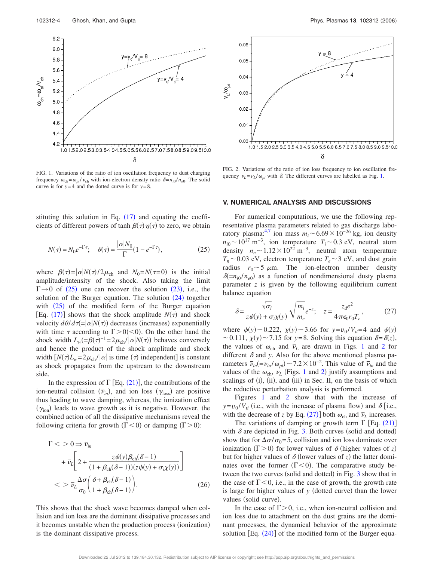

FIG. 1. Variations of the ratio of ion oscillation frequency to dust charging frequency  $\omega_{ch} = \omega_{pi}/\nu_{ch}$  with ion-electron density ratio  $\delta = n_{i0}/n_{e0}$ . The solid curve is for  $y=4$  and the dotted curve is for  $y=8$ .



FIG. 2. Variations of the ratio of ion loss frequency to ion oscillation frequency  $\bar{\nu}_L = \nu_L / \omega_{pi}$  with  $\delta$ . The different curves are labelled as Fig. 1.

#### **V. NUMERICAL ANALYSIS AND DISCUSSIONS**

stituting this solution in Eq.  $(17)$  and equating the coefficients of different powers of  $\tanh \beta(\tau) \eta(\tau)$  to zero, we obtain

$$
N(\tau) = N_0 e^{-\Gamma \tau}; \quad \theta(\tau) = \frac{|\alpha| N_0}{\Gamma} (1 - e^{-\Gamma \tau}), \tag{25}
$$

where  $\beta(\tau) = |\alpha| N(\tau) / 2\mu_{ch}$  and  $N_0 = N(\tau = 0)$  is the initial amplitude/intensity of the shock. Also taking the limit  $\Gamma \rightarrow 0$  of (25) one can recover the solution (23), i.e., the solution of the Burger equation. The solution  $(24)$  together with  $(25)$  of the modified form of the Burger equation [Eq. (17)] shows that the shock amplitude  $N(\tau)$  and shock velocity  $d\theta/d\tau = |\alpha|N(\tau)$  decreases (increases) exponentially with time  $\tau$  according to  $\Gamma > 0 \, \text{and}$  On the other hand the shock width  $L_w = \beta(\tau)^{-1} = 2\mu_{ch}/|\alpha|N(\tau)$  behaves conversely and hence the product of the shock amplitude and shock width  $[N(\tau)L_w=2\mu_{ch}/|\alpha|$  is time  $(\tau)$  independent] is constant as shock propagates from the upstream to the downstream side.

In the expression of  $\Gamma$  [Eq. (21)], the contributions of the ion-neutral collision  $(\bar{\nu}_{in})$ , and ion loss ( $\gamma_{loss}$ ) are positive thus leading to wave damping, whereas, the ionization effect  $(\gamma_{\text{ion}})$  leads to wave growth as it is negative. However, the combined action of all the dissipative mechanisms reveal the following criteria for growth  $(\Gamma < 0)$  or damping  $(\Gamma > 0)$ :

$$
\Gamma < 0 \Rightarrow \bar{\nu}_{in} \\
+ \bar{\nu}_{L} \bigg[ 2 + \frac{z \psi(y) \beta_{\rm ch}(\delta - 1)}{(1 + \beta_{\rm ch}(\delta - 1))(z \psi(y) + \sigma_{i} \chi(y))} \bigg] \\
< 5 \bar{\nu}_{L} \frac{\Delta \sigma}{\sigma_{0}} \bigg( \frac{\delta + \beta_{\rm ch}(\delta - 1)}{1 + \beta_{\rm ch}(\delta - 1)} \bigg). \tag{26}
$$

This shows that the shock wave becomes damped when collision and ion loss are the dominant dissipative processes and it becomes unstable when the production process (ionization) is the dominant dissipative process.

For numerical computations, we use the following representative plasma parameters related to gas discharge laboratory plasma:<sup>4,7</sup> ion mass  $m_i \sim 6.69 \times 10^{-26}$  kg, ion density  $n_{i0} \sim 10^{17} \text{ m}^{-3}$ , ion temperature  $T_i \sim 0.3 \text{ eV}$ , neutral atom density  $n_n \sim 1.12 \times 10^{22}$  m<sup>-3</sup>, neutral atom temperature  $T_n \sim 0.03$  eV, electron temperature  $T_e \sim 3$  eV, and dust grain radius  $r_0 \sim 5 \mu m$ . The ion-electron number density  $\delta$ (= $n_{i0}/n_{e0}$ ) as a function of nondimensional dusty plasma parameter *z* is given by the following equilibrium current balance equation

$$
\delta = \frac{\sqrt{\sigma_i}}{z\psi(y) + \sigma_i \chi(y)} \sqrt{\frac{m_i}{m_e}} e^{-z}; \quad z = \frac{z_d e^2}{4\pi\epsilon_0 r_0 T_e},\tag{27}
$$

where  $\psi(y) \sim 0.222$ ,  $\chi(y) \sim 3.66$  for  $y = v_0/V_{ti} = 4$  and  $\psi(y)$  $\sim$  0.111,  $\chi(y)$   $\sim$  7.15 for *y*=8. Solving this equation  $\delta = \delta(z)$ , the values of  $\omega_{ch}$  and  $\overline{\nu}_L$  are drawn in Figs. 1 and 2 for different  $\delta$  and *y*. Also for the above mentioned plasma parameters  $\overline{\nu}_{in} = \nu_{in}/\omega_{pi} \rightarrow 7.2 \times 10^{-2}$ . This value of  $\overline{\nu}_{in}$  and the values of the  $\omega_{ch}$ ,  $\overline{v}_L$  (Figs. 1 and 2) justify assumptions and scalings of (i), (ii), and (iii) in Sec. II, on the basis of which the reductive perturbation analysis is performed.

Figures 1 and 2 show that with the increase of  $y = v_0/V_{ti}$  (i.e., with the increase of plasma flow) and  $\delta$  [i.e., with the decrease of *z* by Eq. (27)] both  $\omega_{ch}$  and  $\overline{\nu}_L$  increases.

The variations of damping or growth term  $\Gamma$  [Eq. (21)] with  $\delta$  are depicted in Fig. 3. Both curves (solid and dotted) show that for  $\Delta \sigma / \sigma_0 = 5$ , collision and ion loss dominate over ionization ( $\Gamma$ >0) for lower values of  $\delta$  (higher values of *z*) but for higher values of  $\delta$  (lower values of *z*) the latter dominates over the former  $(\Gamma < 0)$ . The comparative study between the two curves (solid and dotted) in Fig. 3 show that in the case of  $\Gamma < 0$ , i.e., in the case of growth, the growth rate is large for higher values of *y* (dotted curve) than the lower values (solid curve).

In the case of  $\Gamma > 0$ , i.e., when ion-neutral collision and ion loss due to attachment on the dust grains are the dominant processes, the dynamical behavior of the approximate solution  $\left[Eq. (24)\right]$  of the modified form of the Burger equa-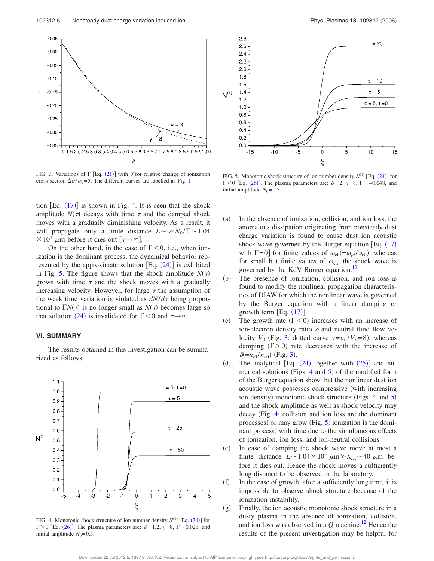

FIG. 3. Variations of  $\Gamma$  [Eq. (21)] with  $\delta$  for relative change of ionization cross section  $\Delta \sigma / \sigma_0 = 5$ . The different curves are labelled as Fig. 1.

tion  $[Eq. (17)]$  is shown in Fig. 4. It is seen that the shock amplitude  $N(\tau)$  decays with time  $\tau$  and the damped shock moves with a gradually diminishing velocity. As a result, it will propagate only a finite distance  $L \sim |\alpha| N_0 / \Gamma \sim 1.04$  $\times 10^3$  µm before it dies out  $\lceil \tau \rightarrow \infty \rceil$ .

On the other hand, in the case of  $\Gamma < 0$ , i.e., when ionization is the dominant process, the dynamical behavior represented by the approximate solution  $[Eq. (24)]$  is exhibited in Fig. 5. The figure shows that the shock amplitude  $N(\tau)$ grows with time  $\tau$  and the shock moves with a gradually increasing velocity. However, for large  $\tau$  the assumption of the weak time variation is violated as  $dN/d\tau$  being proportional to  $\Gamma N(\tau)$  is no longer small as  $N(\tau)$  becomes large so that solution (24) is invalidated for  $\Gamma < 0$  and  $\tau \rightarrow \infty$ .

#### **VI. SUMMARY**

The results obtained in this investigation can be summarized as follows:



FIG. 4. Monotonic shock structure of ion number density  $N^{(1)}$  [Eq.  $(24)$ ] for  $\Gamma$  > 0 [Eq. (26)]. The plasma parameters are:  $\delta$   $\sim$  1.2,  $y$  = 8,  $\Gamma$   $\sim$  0.021, and initial amplitude  $N_0=0.5$ .



FIG. 5. Monotonic shock structure of ion number density  $N^{(1)}$  [Eq. (24)] for  $\Gamma$  < 0 [Eq. (26)]. The plasma parameters are:  $\delta$   $\sim$  2, y=8,  $\Gamma$   $\sim$  -0.048, and initial amplitude  $N_0=0.5$ .

- $(a)$  In the absence of ionization, collision, and ion loss, the anomalous dissipation originating from nonsteady dust charge variation is found to cause dust ion acoustic shock wave governed by the Burger equation [Eq.  $(17)$ ] with  $\Gamma$ =0] for finite values of  $\omega_{ch} (= \omega_{pi}/\nu_{ch})$ , whereas for small but finite values of  $\omega_{ch}$ , the shock wave is governed by the KdV Burger equation.<sup>13</sup>
- $(b)$  The presence of ionization, collision, and ion loss is found to modify the nonlinear propagation characteristics of DIAW for which the nonlinear wave is governed by the Burger equation with a linear damping or growth term  $[Eq. (17)].$
- $(c)$ The growth rate  $(\Gamma < 0)$  increases with an increase of ion-electron density ratio  $\delta$  and neutral fluid flow velocity  $V_0$  (Fig. 3: dotted curve  $y = v_0/V_{ti} = 8$ ), whereas damping  $(\Gamma > 0)$  rate decreases with the increase of  $\delta(=n_{i0}/n_{e0})$  (Fig. 3).
- $(d)$ The analytical [Eq.  $(24)$  together with  $(25)$ ] and numerical solutions (Figs.  $4$  and  $5$ ) of the modified form of the Burger equation show that the nonlinear dust ion acoustic wave possesses compressive (with increasing ion density) monotonic shock structure (Figs. 4 and 5) and the shock amplitude as well as shock velocity may decay Fig. 4: collision and ion loss are the dominant processes) or may grow (Fig. 5: ionization is the dominant process) with time due to the simultaneous effects of ionization, ion loss, and ion-neutral collisions.
- $(e)$  In case of damping the shock wave move at most a finite distance  $L \sim 1.04 \times 10^3 \ \mu \text{m} \ge \lambda_{D_i} \sim 40 \ \mu \text{m}$  before it dies out. Hence the shock moves a sufficiently long distance to be observed in the laboratory.
- $(f)$  In the case of growth, after a sufficiently long time, it is impossible to observe shock structure because of the ionization instability.
- $(g)$  Finally, the ion acoustic monotonic shock structure in a dusty plasma in the absence of ionization, collision, and ion loss was observed in a  $Q$  machine.<sup>12</sup> Hence the results of the present investigation may be helpful for